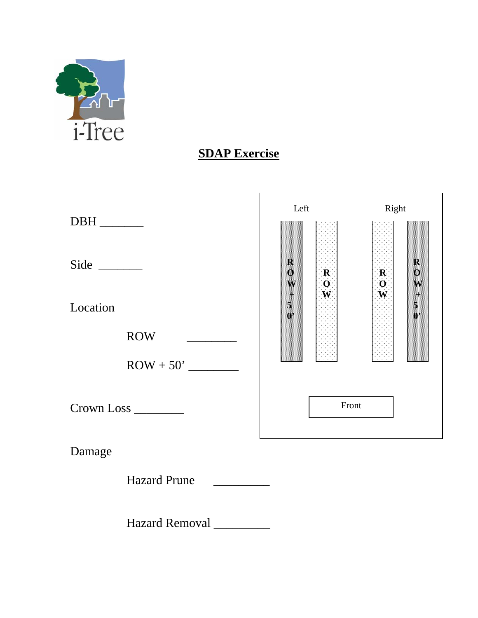

## **SDAP Exercise**

| $DBH$ <sub>________</sub> | Left        |                                                                       | Right                                                                                |
|---------------------------|-------------|-----------------------------------------------------------------------|--------------------------------------------------------------------------------------|
|                           | M<br>Ø<br>W | $\begin{array}{c} \mathbf{R} \\ \mathbf{O} \\ \mathbf{W} \end{array}$ | R<br>$\begin{array}{c} \mathbf{R} \\ \mathbf{O} \\ \mathbf{W} \end{array}$<br>O<br>W |
| Location                  |             |                                                                       |                                                                                      |
| <b>ROW</b>                |             |                                                                       |                                                                                      |
| $\text{ROW} + 50'$        |             |                                                                       |                                                                                      |
| Crown Loss _______        |             | Front                                                                 |                                                                                      |
| Damage                    |             |                                                                       |                                                                                      |

Hazard Prune \_\_\_\_\_\_\_\_\_\_

Hazard Removal \_\_\_\_\_\_\_\_\_\_